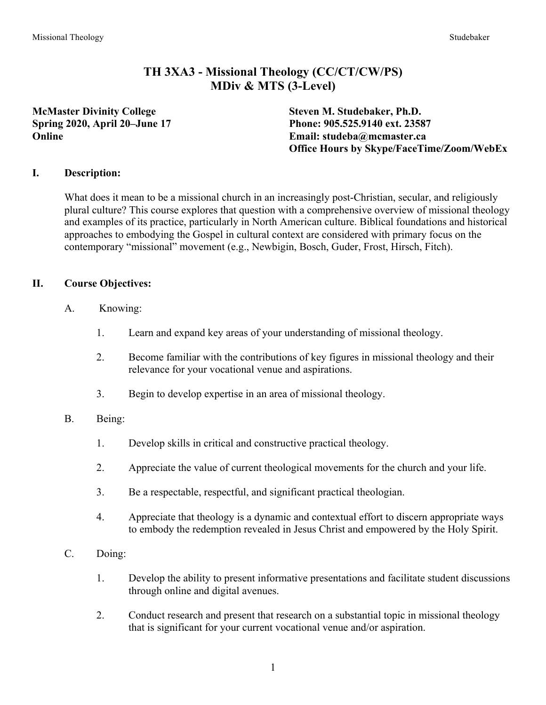# **TH 3XA3 - Missional Theology (CC/CT/CW/PS) MDiv & MTS (3-Level)**

**McMaster Divinity College Steven M. Studebaker, Ph.D.**

**Spring 2020, April 20–June 17 Phone: 905.525.9140 ext. 23587 Online Email: studeba@mcmaster.ca Office Hours by Skype/FaceTime/Zoom/WebEx**

### **I. Description:**

What does it mean to be a missional church in an increasingly post-Christian, secular, and religiously plural culture? This course explores that question with a comprehensive overview of missional theology and examples of its practice, particularly in North American culture. Biblical foundations and historical approaches to embodying the Gospel in cultural context are considered with primary focus on the contemporary "missional" movement (e.g., Newbigin, Bosch, Guder, Frost, Hirsch, Fitch).

## **II. Course Objectives:**

- A. Knowing:
	- 1. Learn and expand key areas of your understanding of missional theology.
	- 2. Become familiar with the contributions of key figures in missional theology and their relevance for your vocational venue and aspirations.
	- 3. Begin to develop expertise in an area of missional theology.

## B. Being:

- 1. Develop skills in critical and constructive practical theology.
- 2. Appreciate the value of current theological movements for the church and your life.
- 3. Be a respectable, respectful, and significant practical theologian.
- 4. Appreciate that theology is a dynamic and contextual effort to discern appropriate ways to embody the redemption revealed in Jesus Christ and empowered by the Holy Spirit.
- C. Doing:
	- 1. Develop the ability to present informative presentations and facilitate student discussions through online and digital avenues.
	- 2. Conduct research and present that research on a substantial topic in missional theology that is significant for your current vocational venue and/or aspiration.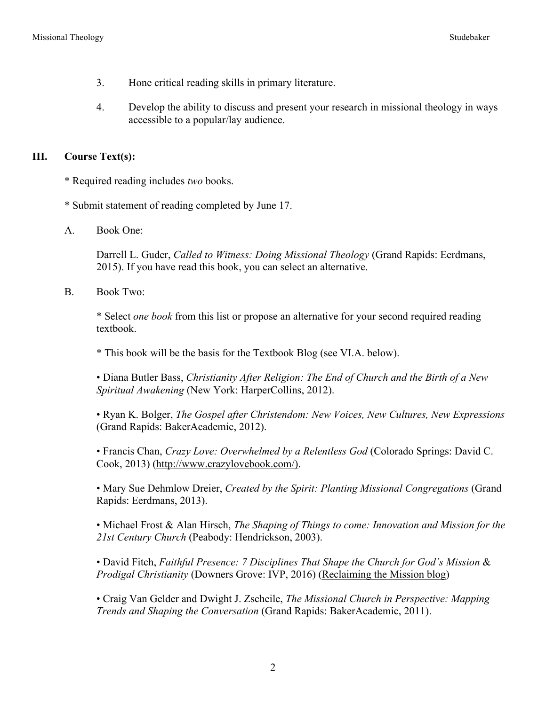- 3. Hone critical reading skills in primary literature.
- 4. Develop the ability to discuss and present your research in missional theology in ways accessible to a popular/lay audience.

### **III. Course Text(s):**

- \* Required reading includes *two* books.
- \* Submit statement of reading completed by June 17.
- A. Book One:

Darrell L. Guder, *Called to Witness: Doing Missional Theology* (Grand Rapids: Eerdmans, 2015). If you have read this book, you can select an alternative.

B. Book Two:

\* Select *one book* from this list or propose an alternative for your second required reading textbook.

\* This book will be the basis for the Textbook Blog (see VI.A. below).

• Diana Butler Bass, *Christianity After Religion: The End of Church and the Birth of a New Spiritual Awakening* (New York: HarperCollins, 2012).

• Ryan K. Bolger, *The Gospel after Christendom: New Voices, New Cultures, New Expressions* (Grand Rapids: BakerAcademic, 2012).

• Francis Chan, *Crazy Love: Overwhelmed by a Relentless God* (Colorado Springs: David C. Cook, 2013) (http://www.crazylovebook.com/).

• Mary Sue Dehmlow Dreier, *Created by the Spirit: Planting Missional Congregations* (Grand Rapids: Eerdmans, 2013).

• Michael Frost & Alan Hirsch, *The Shaping of Things to come: Innovation and Mission for the 21st Century Church* (Peabody: Hendrickson, 2003).

• David Fitch, *Faithful Presence: 7 Disciplines That Shape the Church for God's Mission* & *Prodigal Christianity* (Downers Grove: IVP, 2016) (Reclaiming the Mission blog)

• Craig Van Gelder and Dwight J. Zscheile, *The Missional Church in Perspective: Mapping Trends and Shaping the Conversation* (Grand Rapids: BakerAcademic, 2011).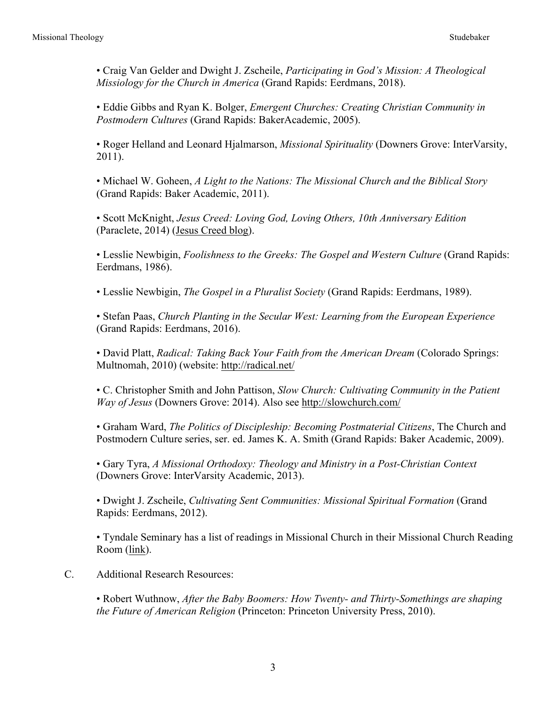• Craig Van Gelder and Dwight J. Zscheile, *Participating in God's Mission: A Theological Missiology for the Church in America* (Grand Rapids: Eerdmans, 2018).

• Eddie Gibbs and Ryan K. Bolger, *Emergent Churches: Creating Christian Community in Postmodern Cultures* (Grand Rapids: BakerAcademic, 2005).

• Roger Helland and Leonard Hjalmarson, *Missional Spirituality* (Downers Grove: InterVarsity, 2011).

• Michael W. Goheen, *A Light to the Nations: The Missional Church and the Biblical Story* (Grand Rapids: Baker Academic, 2011).

• Scott McKnight, *Jesus Creed: Loving God, Loving Others, 10th Anniversary Edition* (Paraclete, 2014) (Jesus Creed blog).

• Lesslie Newbigin, *Foolishness to the Greeks: The Gospel and Western Culture* (Grand Rapids: Eerdmans, 1986).

• Lesslie Newbigin, *The Gospel in a Pluralist Society* (Grand Rapids: Eerdmans, 1989).

• Stefan Paas, *Church Planting in the Secular West: Learning from the European Experience* (Grand Rapids: Eerdmans, 2016).

• David Platt, *Radical: Taking Back Your Faith from the American Dream* (Colorado Springs: Multnomah, 2010) (website: http://radical.net/

• C. Christopher Smith and John Pattison, *Slow Church: Cultivating Community in the Patient Way of Jesus* (Downers Grove: 2014). Also see http://slowchurch.com/

• Graham Ward, *The Politics of Discipleship: Becoming Postmaterial Citizens*, The Church and Postmodern Culture series, ser. ed. James K. A. Smith (Grand Rapids: Baker Academic, 2009).

• Gary Tyra, *A Missional Orthodoxy: Theology and Ministry in a Post-Christian Context* (Downers Grove: InterVarsity Academic, 2013).

• Dwight J. Zscheile, *Cultivating Sent Communities: Missional Spiritual Formation* (Grand Rapids: Eerdmans, 2012).

• Tyndale Seminary has a list of readings in Missional Church in their Missional Church Reading Room (link).

C. Additional Research Resources:

• Robert Wuthnow, *After the Baby Boomers: How Twenty- and Thirty-Somethings are shaping the Future of American Religion* (Princeton: Princeton University Press, 2010).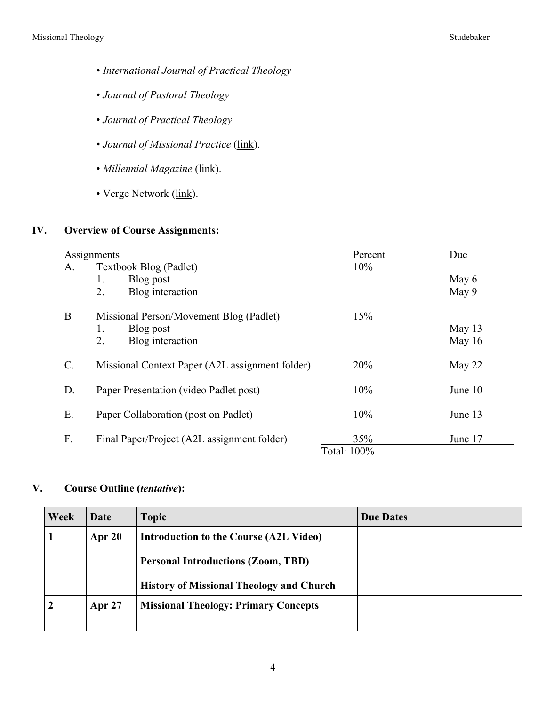- *International Journal of Practical Theology*
- *Journal of Pastoral Theology*
- *Journal of Practical Theology*
- *Journal of Missional Practice* (link).
- *Millennial Magazine* (link).
- Verge Network (link).

### **IV. Overview of Course Assignments:**

| Assignments |                                                          | Percent     | Due      |  |
|-------------|----------------------------------------------------------|-------------|----------|--|
| A.          | Textbook Blog (Padlet)                                   | 10%         |          |  |
|             | Blog post<br>1.                                          |             | May $6$  |  |
|             | 2.<br>Blog interaction                                   |             | May 9    |  |
| B           | Missional Person/Movement Blog (Padlet)                  | 15%         |          |  |
|             | Blog post<br>1.                                          |             | May $13$ |  |
|             | Blog interaction<br>2.                                   |             | May $16$ |  |
|             |                                                          |             |          |  |
| C.          | Missional Context Paper (A2L assignment folder)          | 20%         | May $22$ |  |
|             |                                                          |             |          |  |
| D.          | 10%<br>Paper Presentation (video Padlet post)<br>June 10 |             |          |  |
| Е.          | Paper Collaboration (post on Padlet)                     | 10%         | June 13  |  |
|             |                                                          |             |          |  |
| F.          | Final Paper/Project (A2L assignment folder)              | 35%         | June 17  |  |
|             |                                                          | Total: 100% |          |  |

## **V. Course Outline (***tentative***):**

| Week | Date          | <b>Topic</b>                                    | <b>Due Dates</b> |
|------|---------------|-------------------------------------------------|------------------|
|      | Apr $20$      | Introduction to the Course (A2L Video)          |                  |
|      |               | <b>Personal Introductions (Zoom, TBD)</b>       |                  |
|      |               | <b>History of Missional Theology and Church</b> |                  |
| 2    | <b>Apr 27</b> | <b>Missional Theology: Primary Concepts</b>     |                  |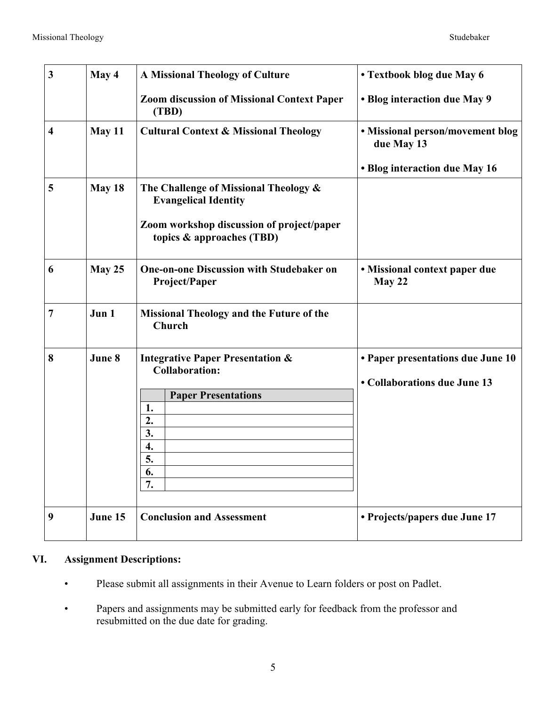| $\mathbf{3}$            | May 4                                                                          | <b>A Missional Theology of Culture</b>                                 | • Textbook blog due May 6                                         |
|-------------------------|--------------------------------------------------------------------------------|------------------------------------------------------------------------|-------------------------------------------------------------------|
|                         |                                                                                | <b>Zoom discussion of Missional Context Paper</b><br>(TBD)             | • Blog interaction due May 9                                      |
| $\overline{\mathbf{4}}$ | May 11                                                                         | <b>Cultural Context &amp; Missional Theology</b>                       | • Missional person/movement blog<br>due May 13                    |
|                         |                                                                                |                                                                        | • Blog interaction due May 16                                     |
| 5                       | May 18                                                                         | The Challenge of Missional Theology &<br><b>Evangelical Identity</b>   |                                                                   |
|                         |                                                                                | Zoom workshop discussion of project/paper<br>topics & approaches (TBD) |                                                                   |
| 6                       | May 25                                                                         | <b>One-on-one Discussion with Studebaker on</b><br>Project/Paper       | • Missional context paper due<br>May 22                           |
| 7                       | Jun 1                                                                          | <b>Missional Theology and the Future of the</b><br>Church              |                                                                   |
| 8                       | June 8<br><b>Integrative Paper Presentation &amp;</b><br><b>Collaboration:</b> |                                                                        | • Paper presentations due June 10<br>• Collaborations due June 13 |
|                         |                                                                                | <b>Paper Presentations</b>                                             |                                                                   |
|                         |                                                                                | 1.                                                                     |                                                                   |
|                         |                                                                                | 2.                                                                     |                                                                   |
|                         |                                                                                | 3.                                                                     |                                                                   |
|                         |                                                                                | 4.                                                                     |                                                                   |
|                         |                                                                                | $\overline{\mathbf{5}}$<br>6.                                          |                                                                   |
|                         |                                                                                | 7.                                                                     |                                                                   |
|                         |                                                                                |                                                                        |                                                                   |
| 9                       | June 15                                                                        | <b>Conclusion and Assessment</b>                                       | • Projects/papers due June 17                                     |

## **VI. Assignment Descriptions:**

- Please submit all assignments in their Avenue to Learn folders or post on Padlet.
- Papers and assignments may be submitted early for feedback from the professor and resubmitted on the due date for grading.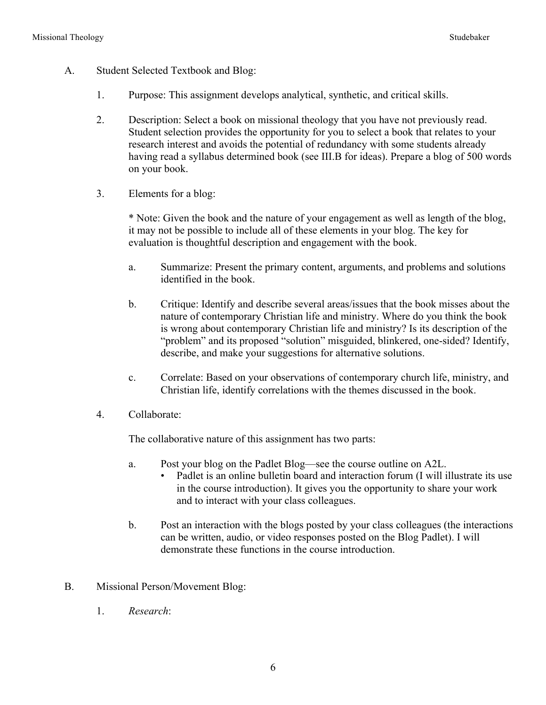- A. Student Selected Textbook and Blog:
	- 1. Purpose: This assignment develops analytical, synthetic, and critical skills.
	- 2. Description: Select a book on missional theology that you have not previously read. Student selection provides the opportunity for you to select a book that relates to your research interest and avoids the potential of redundancy with some students already having read a syllabus determined book (see III.B for ideas). Prepare a blog of 500 words on your book.
	- 3. Elements for a blog:

\* Note: Given the book and the nature of your engagement as well as length of the blog, it may not be possible to include all of these elements in your blog. The key for evaluation is thoughtful description and engagement with the book.

- a. Summarize: Present the primary content, arguments, and problems and solutions identified in the book.
- b. Critique: Identify and describe several areas/issues that the book misses about the nature of contemporary Christian life and ministry. Where do you think the book is wrong about contemporary Christian life and ministry? Is its description of the "problem" and its proposed "solution" misguided, blinkered, one-sided? Identify, describe, and make your suggestions for alternative solutions.
- c. Correlate: Based on your observations of contemporary church life, ministry, and Christian life, identify correlations with the themes discussed in the book.
- 4. Collaborate:

The collaborative nature of this assignment has two parts:

- a. Post your blog on the Padlet Blog—see the course outline on A2L.
	- Padlet is an online bulletin board and interaction forum (I will illustrate its use in the course introduction). It gives you the opportunity to share your work and to interact with your class colleagues.
- b. Post an interaction with the blogs posted by your class colleagues (the interactions can be written, audio, or video responses posted on the Blog Padlet). I will demonstrate these functions in the course introduction.
- B. Missional Person/Movement Blog:
	- 1. *Research*: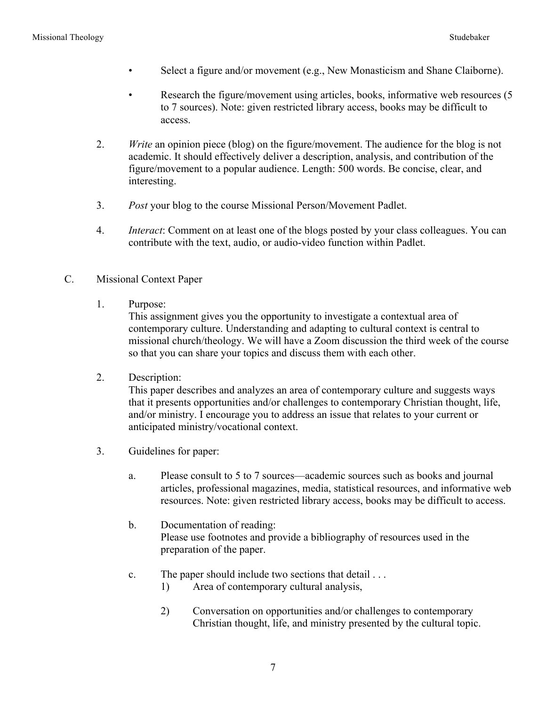- Select a figure and/or movement (e.g., New Monasticism and Shane Claiborne).
- Research the figure/movement using articles, books, informative web resources (5 to 7 sources). Note: given restricted library access, books may be difficult to access.
- 2. *Write* an opinion piece (blog) on the figure/movement. The audience for the blog is not academic. It should effectively deliver a description, analysis, and contribution of the figure/movement to a popular audience. Length: 500 words. Be concise, clear, and interesting.
- 3. *Post* your blog to the course Missional Person/Movement Padlet.
- 4. *Interact*: Comment on at least one of the blogs posted by your class colleagues. You can contribute with the text, audio, or audio-video function within Padlet.
- C. Missional Context Paper
	- 1. Purpose:

This assignment gives you the opportunity to investigate a contextual area of contemporary culture. Understanding and adapting to cultural context is central to missional church/theology. We will have a Zoom discussion the third week of the course so that you can share your topics and discuss them with each other.

2. Description:

This paper describes and analyzes an area of contemporary culture and suggests ways that it presents opportunities and/or challenges to contemporary Christian thought, life, and/or ministry. I encourage you to address an issue that relates to your current or anticipated ministry/vocational context.

- 3. Guidelines for paper:
	- a. Please consult to 5 to 7 sources—academic sources such as books and journal articles, professional magazines, media, statistical resources, and informative web resources. Note: given restricted library access, books may be difficult to access.
	- b. Documentation of reading: Please use footnotes and provide a bibliography of resources used in the preparation of the paper.
	- c. The paper should include two sections that detail . . .
		- 1) Area of contemporary cultural analysis,
		- 2) Conversation on opportunities and/or challenges to contemporary Christian thought, life, and ministry presented by the cultural topic.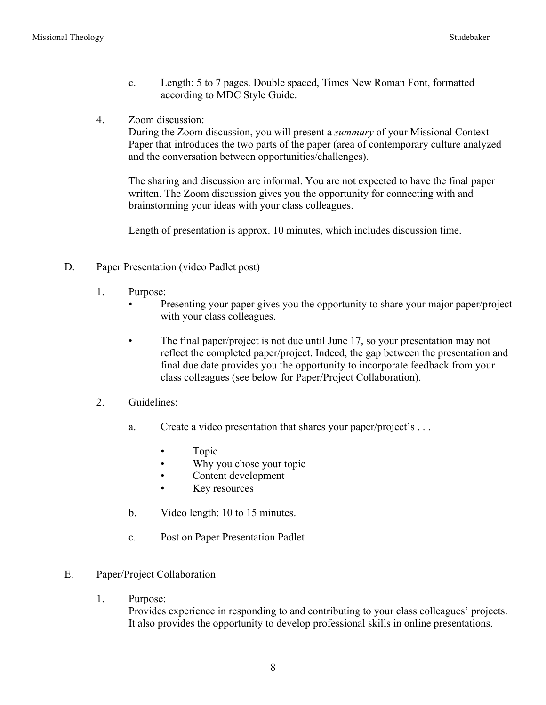- c. Length: 5 to 7 pages. Double spaced, Times New Roman Font, formatted according to MDC Style Guide.
- 4. Zoom discussion:

During the Zoom discussion, you will present a *summary* of your Missional Context Paper that introduces the two parts of the paper (area of contemporary culture analyzed and the conversation between opportunities/challenges).

The sharing and discussion are informal. You are not expected to have the final paper written. The Zoom discussion gives you the opportunity for connecting with and brainstorming your ideas with your class colleagues.

Length of presentation is approx. 10 minutes, which includes discussion time.

- D. Paper Presentation (video Padlet post)
	- 1. Purpose:
		- Presenting your paper gives you the opportunity to share your major paper/project with your class colleagues.
		- The final paper/project is not due until June 17, so your presentation may not reflect the completed paper/project. Indeed, the gap between the presentation and final due date provides you the opportunity to incorporate feedback from your class colleagues (see below for Paper/Project Collaboration).
	- 2. Guidelines:
		- a. Create a video presentation that shares your paper/project's . . .
			- Topic
			- Why you chose your topic
			- Content development
			- Key resources
		- b. Video length: 10 to 15 minutes.
		- c. Post on Paper Presentation Padlet
- E. Paper/Project Collaboration
	- 1. Purpose:

Provides experience in responding to and contributing to your class colleagues' projects. It also provides the opportunity to develop professional skills in online presentations.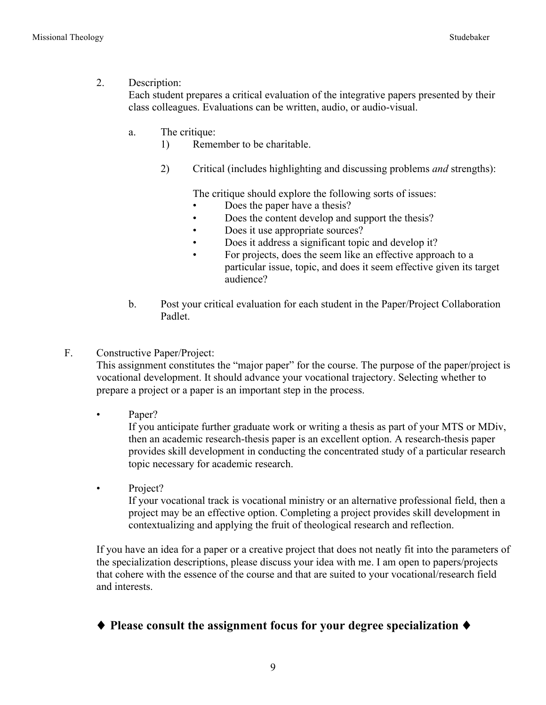### 2. Description:

Each student prepares a critical evaluation of the integrative papers presented by their class colleagues. Evaluations can be written, audio, or audio-visual.

- a. The critique:
	- 1) Remember to be charitable.
	- 2) Critical (includes highlighting and discussing problems *and* strengths):

The critique should explore the following sorts of issues:

- Does the paper have a thesis?
- Does the content develop and support the thesis?
- Does it use appropriate sources?
- Does it address a significant topic and develop it?
- For projects, does the seem like an effective approach to a particular issue, topic, and does it seem effective given its target audience?
- b. Post your critical evaluation for each student in the Paper/Project Collaboration Padlet.
- F. Constructive Paper/Project:

This assignment constitutes the "major paper" for the course. The purpose of the paper/project is vocational development. It should advance your vocational trajectory. Selecting whether to prepare a project or a paper is an important step in the process.

• Paper?

If you anticipate further graduate work or writing a thesis as part of your MTS or MDiv, then an academic research-thesis paper is an excellent option. A research-thesis paper provides skill development in conducting the concentrated study of a particular research topic necessary for academic research.

• Project?

If your vocational track is vocational ministry or an alternative professional field, then a project may be an effective option. Completing a project provides skill development in contextualizing and applying the fruit of theological research and reflection.

If you have an idea for a paper or a creative project that does not neatly fit into the parameters of the specialization descriptions, please discuss your idea with me. I am open to papers/projects that cohere with the essence of the course and that are suited to your vocational/research field and interests.

# ♦ **Please consult the assignment focus for your degree specialization** ♦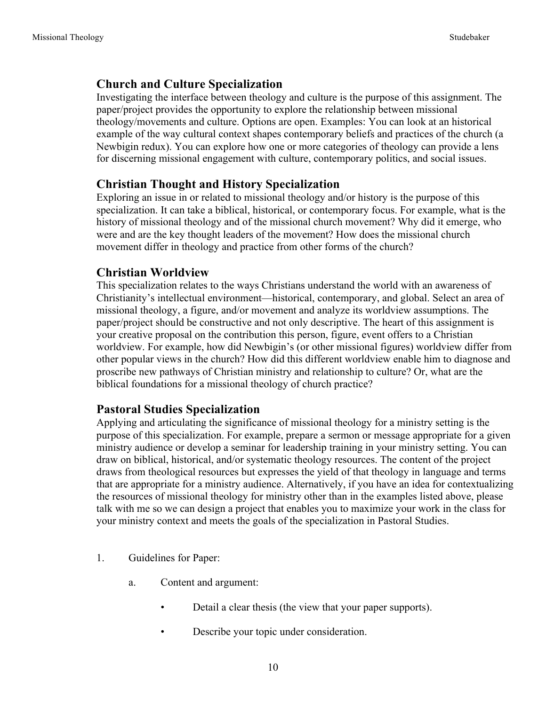# **Church and Culture Specialization**

Investigating the interface between theology and culture is the purpose of this assignment. The paper/project provides the opportunity to explore the relationship between missional theology/movements and culture. Options are open. Examples: You can look at an historical example of the way cultural context shapes contemporary beliefs and practices of the church (a Newbigin redux). You can explore how one or more categories of theology can provide a lens for discerning missional engagement with culture, contemporary politics, and social issues.

# **Christian Thought and History Specialization**

Exploring an issue in or related to missional theology and/or history is the purpose of this specialization. It can take a biblical, historical, or contemporary focus. For example, what is the history of missional theology and of the missional church movement? Why did it emerge, who were and are the key thought leaders of the movement? How does the missional church movement differ in theology and practice from other forms of the church?

# **Christian Worldview**

This specialization relates to the ways Christians understand the world with an awareness of Christianity's intellectual environment—historical, contemporary, and global. Select an area of missional theology, a figure, and/or movement and analyze its worldview assumptions. The paper/project should be constructive and not only descriptive. The heart of this assignment is your creative proposal on the contribution this person, figure, event offers to a Christian worldview. For example, how did Newbigin's (or other missional figures) worldview differ from other popular views in the church? How did this different worldview enable him to diagnose and proscribe new pathways of Christian ministry and relationship to culture? Or, what are the biblical foundations for a missional theology of church practice?

## **Pastoral Studies Specialization**

Applying and articulating the significance of missional theology for a ministry setting is the purpose of this specialization. For example, prepare a sermon or message appropriate for a given ministry audience or develop a seminar for leadership training in your ministry setting. You can draw on biblical, historical, and/or systematic theology resources. The content of the project draws from theological resources but expresses the yield of that theology in language and terms that are appropriate for a ministry audience. Alternatively, if you have an idea for contextualizing the resources of missional theology for ministry other than in the examples listed above, please talk with me so we can design a project that enables you to maximize your work in the class for your ministry context and meets the goals of the specialization in Pastoral Studies.

- 1. Guidelines for Paper:
	- a. Content and argument:
		- Detail a clear thesis (the view that your paper supports).
		- Describe your topic under consideration.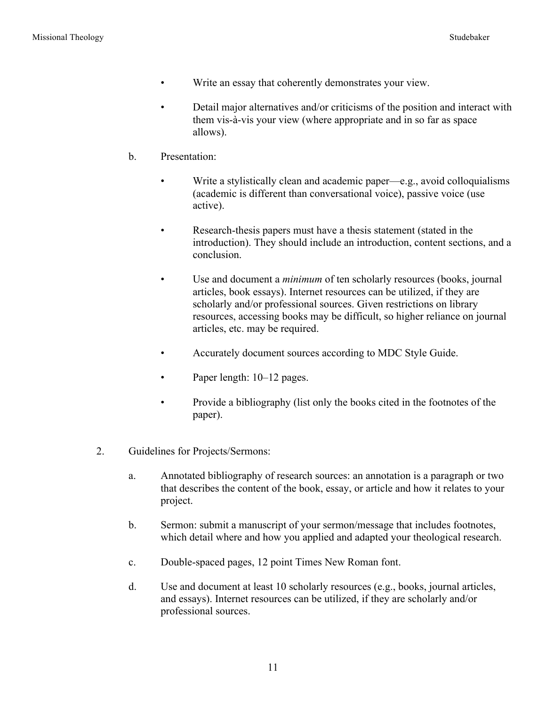- Write an essay that coherently demonstrates your view.
- Detail major alternatives and/or criticisms of the position and interact with them vis-à-vis your view (where appropriate and in so far as space allows).
- b. Presentation:
	- Write a stylistically clean and academic paper—e.g., avoid colloquialisms (academic is different than conversational voice), passive voice (use active).
	- Research-thesis papers must have a thesis statement (stated in the introduction). They should include an introduction, content sections, and a conclusion.
	- Use and document a *minimum* of ten scholarly resources (books, journal articles, book essays). Internet resources can be utilized, if they are scholarly and/or professional sources. Given restrictions on library resources, accessing books may be difficult, so higher reliance on journal articles, etc. may be required.
	- Accurately document sources according to MDC Style Guide.
	- Paper length:  $10-12$  pages.
	- Provide a bibliography (list only the books cited in the footnotes of the paper).
- 2. Guidelines for Projects/Sermons:
	- a. Annotated bibliography of research sources: an annotation is a paragraph or two that describes the content of the book, essay, or article and how it relates to your project.
	- b. Sermon: submit a manuscript of your sermon/message that includes footnotes, which detail where and how you applied and adapted your theological research.
	- c. Double-spaced pages, 12 point Times New Roman font.
	- d. Use and document at least 10 scholarly resources (e.g., books, journal articles, and essays). Internet resources can be utilized, if they are scholarly and/or professional sources.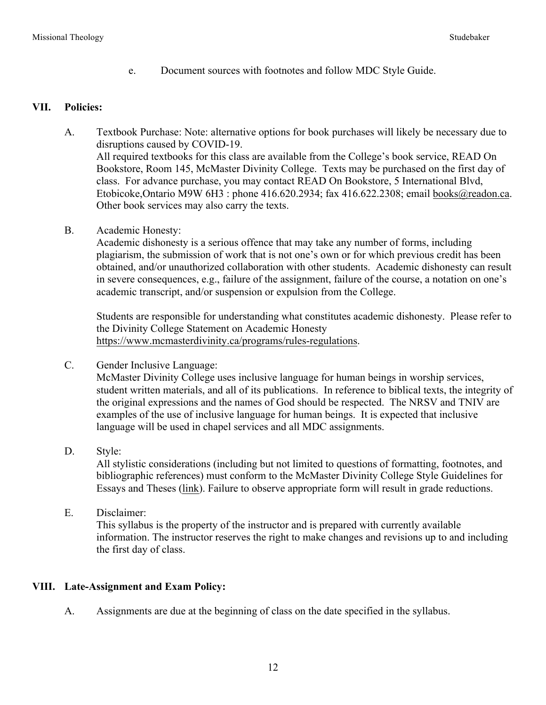e. Document sources with footnotes and follow MDC Style Guide.

#### **VII. Policies:**

- A. Textbook Purchase: Note: alternative options for book purchases will likely be necessary due to disruptions caused by COVID-19. All required textbooks for this class are available from the College's book service, READ On Bookstore, Room 145, McMaster Divinity College. Texts may be purchased on the first day of class. For advance purchase, you may contact READ On Bookstore, 5 International Blvd, Etobicoke,Ontario M9W 6H3 : phone 416.620.2934; fax 416.622.2308; email books@readon.ca. Other book services may also carry the texts.
- B. Academic Honesty:

Academic dishonesty is a serious offence that may take any number of forms, including plagiarism, the submission of work that is not one's own or for which previous credit has been obtained, and/or unauthorized collaboration with other students. Academic dishonesty can result in severe consequences, e.g., failure of the assignment, failure of the course, a notation on one's academic transcript, and/or suspension or expulsion from the College.

Students are responsible for understanding what constitutes academic dishonesty. Please refer to the Divinity College Statement on Academic Honesty https://www.mcmasterdivinity.ca/programs/rules-regulations.

C. Gender Inclusive Language:

McMaster Divinity College uses inclusive language for human beings in worship services, student written materials, and all of its publications. In reference to biblical texts, the integrity of the original expressions and the names of God should be respected. The NRSV and TNIV are examples of the use of inclusive language for human beings. It is expected that inclusive language will be used in chapel services and all MDC assignments.

D. Style:

All stylistic considerations (including but not limited to questions of formatting, footnotes, and bibliographic references) must conform to the McMaster Divinity College Style Guidelines for Essays and Theses (link). Failure to observe appropriate form will result in grade reductions.

E. Disclaimer:

This syllabus is the property of the instructor and is prepared with currently available information. The instructor reserves the right to make changes and revisions up to and including the first day of class.

### **VIII. Late-Assignment and Exam Policy:**

A. Assignments are due at the beginning of class on the date specified in the syllabus.